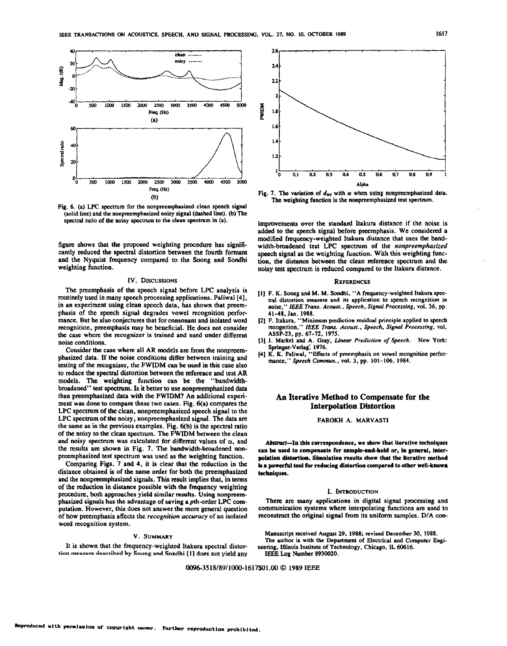<span id="page-0-0"></span>

[Fig.](#page-3-0) 6. (a) LPC spectrum for the nonpreemphasized clean speech signal (solid line) and the nonpncmphasized noisy signal (dashed line). **(b)** The spectral ratio of **the** noisy spectmm to the clean spectrum in (a).

figure shows that the proposed weighting procedure has **signiii**cantly reduced the spectral distortion between the fourth formant and the Nyquist frequency compared to the Soong and Sondhi weighting function.

### **IV. DISCUSSIONS**

The preemphasis of the speech signal before **LPC** analysis is routinely used in many speech processing applications. Paliwal [4], in an experiment using clean speech data, has shown that preemphasis of the speech signal degrades vowel recognition perfor- mance. But he also conjectures that for consonant and isolated word recognition, preemphasis may be beneficial. He does not consider **the** case where **the** recognizer is trained and **used** under different noise conditions.

Consider the case where all **AR** models are from the nonpreemphasized **data.** If **the** noise conditions differ between training and testing of **the** recognizer, the **FWIDM** can be **used** in this case also to reduce the spectral distortion between the reference and test **AR**  models. The weighting function can **be** the "bandwidthbroadened" test spectrum. Is it better to use nonpreemphasized **data**  than preemphasized data with the FWIDM? An additional experiment was done to compare these two cases. Fig.  $6(a)$  compares the **LPC** spectrum of **the** clean, nonpreemphasized speech signal **to** the **LPC** specuum of the noisy, nonpreemphasized signal. The **data** are the same as in the previous examples. Fig. **qb)** is the spectral ratio of **the** noisy to the clean spectrum. The FWIDM between the clean and noisy spectrum was calculated for different values of  $\alpha$ , and the results are shown in Fig. **7.** The bandwidth-broadened non- preemphasized test spectrum was **used** as the weighting function.

Comparing Figs. **7** and **4,** it is clear that the reduction in the distance obtained is of the same order for both the preemphasized and the nonpnemphasized signals. This result implies **that,** in **terms**  of the reduction in distance possible with the frequency weighting procedure, both approaches yield similar results. Using nonpreem-<br>phasized signals has the advantage of saving a *p*th-order LPC computation. However, this does not answer the more general question. of how preemphasis affects the *recognition accuracy* of an isolated word recognition system.

### **V. SUMMARY**

It is shown that the frequency-weighted Itakura spectral distor- **tion measune described by Saong and** Sondhi **[ll does** not yield any



Fig. 7. The variation of  $d_{\mathbf{w}i}$  with  $\alpha$  when using nonpreemphasized data. The weighting function is the nonpreemphasized test **spectrum.** 

improvements over the standard Itakura distance if the noise is added to **the** speech signal before preemphasis. We considered a modified frequency-weighted Itakura distance that uses the bandwidth-broadened test LPC spectrum of the nonpreemphasized speech signal as the weighting function. With this weighting function, the distance between the clean reference spectrum and the noisy test spectrum is reduced compared to the **Itakura** distance.

### **REFERENCES**

- **[I] F. K.** Soong and **M. M.** Sondhi, "A frequency-weighted Itakura **spec**tral distortion measure and its application to speech recognition in noise," IEEE *Trans. Acoust.. Speech, Signal Processing,* vol. *36,* pp. **41-48,** Jan. **1988.**
- **<sup>121</sup>**F. Itakura. "Minimum prediction residual principle applied *to* speech recognition," IEEE Trans. *Acoust., Speech, Signal Processing,* vol. **ASP-23.** pp. **67-72. 1975.**
- **131 I.** Markel and **A.** Gray, *Unear Prediction of Speech.* **New York:**  Springer-Verlag: **1976.**
- **[41 K. K. Paliwal, ''Effects** of preemphasis on vowel recognition performance,'' *Speech Commun.,* vol. *3,* pp. **101-106, 1984.**

## **An Iterative Method to Compensate for the Interpolation Distortion**

### **FAROKH A. MARVASTI**

Abstmct-In **this** corrcspondeme, **we show that iterative techniques can be used** to compensate **for** sample-and-hold **or, in** general, interpolation **distortion.** Simulation results **show that** the iterative **method is a powerful tool for reducing distortion compared to other well-known** techniques.

### **1. INTRODUCTION**

There are many applications in digital signal processing and communication systems where interpolating functions are used to reconstruct the original signal from its uniform samples. D/A con-

Manuscript received August *29,* **1988;** rcviscd December 30, **1988.**  The author **is** with the Department of Electrical **and** Computer Engi-**IEEE Log** Number **8930020.**  wering, Illinois Institute **of** Technology, Chicago, **IL 60616.** 

**0096-3518/8911000-1617\$01.W** *0 1989* **IEEE**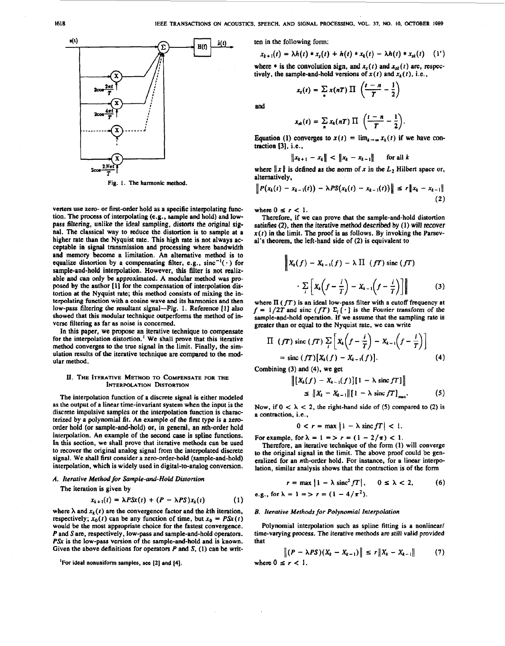

Fig. **1.** The harmonic method.

verters use zero- or first-order hold as a specific interpolating function. The process of interpolating **(e.g..** sample and hold) and lowpass filtering, unlike the ideal sampling. distorts the original signal. The classical way to reduce the distortion is to sample at a higher rate than the Nyquist rate. This high rate is not always acceptable in signal transmission and processing where bandwidth and memory become a limitation. An altemative method is to equalize distortion by a compensating filter, e.g.,  $sinc^{-1}(\cdot)$  for sample-and-hold interpolation. However, this filter is not realizable **and can only** be approximated. **A** modular method was proposed by **the** author [ **I]** for the compensation of interpolation distortion at the Nyquist rate; this method consists of mixing the interpolating function with a cosine wave **and** its harmonics and then **low-pass** filtering **the** resultant signal-Fig. 1. Reference **[I]** also showed that this modular technique outperforms **the** method of inverse filtering as far **as** noise is concerned.

In **this** paper, we propose an iterative technique to compensate for the interpolation distortion.' We shall prove that this iterative method converges to the true signal in the limit. Finally, the simulation results of **the** iterative technique are compared to the modular method.

### **11.** THE **ITERATIVE METHOD TO COMPENSATE FORTHE INTERPOLATION DISTORTION**

The interpolation function of a discrete signal is either modeled as the output **of** a linear time-invariant system when the input is the discrete impulsive samples or the interpolation function is characterized by a polynomial fit. An example of the first **type js a** zeroorder hold (or sample-and-hold) or, in general, an nth-order hold interpolation. An example of the second case is spline functions. In this section, we shall prove that iterative methods can be used to recover the original analog signal **from the** interpolated discrete signal. We shall first consider a zero-order-hold (sample-and-hold) interpolation, which is widely used in digital-to-analog conversion.

### *A. Iterative Method for Sample-and-Hold Distortion*

The iteration is given by

$$
x_{k+1}(t) = \lambda P S x(t) + (P - \lambda P S) x_k(t)
$$
 (1)

where  $\lambda$  and  $x_k(t)$  are the convergence factor and the kth iteration, respectively;  $x_0(t)$  can be any function of time, but  $x_0 = P\mathcal{S}x(t)$ would be the most appropriate choice for the fastest convergence. *P* and *S* are, respectively, low-pass and sample-and-hold operators. *PSx* is the low-pass version of **the** sample-and-hold and is known. Given the above definitions for operators *P* **and S, (1)** can **be** writ-

**'For** ideal nonuniform samples, **sec [2]** and **[4].** 

ten in the following form:

$$
x_{k+1}(t) = \lambda h(t) * x_{s}(t) + h(t) * x_{k}(t) - \lambda h(t) * x_{sk}(t) \quad (1')
$$

where  $*$  is the convolution sign, and  $x<sub>s</sub>(t)$  and  $x<sub>sk</sub>(t)$  are, respectively, the sample-and-hold versions of  $x(t)$  and  $x_k(t)$ , i.e.,

$$
\lambda h(t) * x_s(t) + h(t) * x_k(t) - \lambda h(t) * x_{sk}(t)
$$
  
the convolution sign, and  $x_s(t)$  and  $x_{sk}(t)$  are,   
mple-and-hold versions of  $x(t)$  and  $x_k(t)$ , i.e.  

$$
x_t(t) = \sum_{n} x(nT) \prod_{i} \left( \frac{t-n}{T} - \frac{1}{2} \right)
$$

**and** 

$$
x_{sk}(t) = \sum_{n} x_k(nT) \prod_{k} \left( \frac{t-n}{T} - \frac{1}{2} \right).
$$

Equation (1) converges to  $x(t) = \lim_{k \to \infty} x_k(t)$  if we have contraction **131,** i.e.,

$$
\|x_{k+1} - x_k\| < \|x_k - x_{k-1}\| \quad \text{for all } k
$$

where  $||x||$  is defined as the norm of *x* in the  $L_2$  Hilbert space or, alternatively,

$$
\|P(x_k(t) - x_{k-1}(t)) - \lambda PS(x_k(t) - x_{k-1}(t))\| \leq r \|x_k - x_{k-1}\|
$$
\n(2)

where  $0 \leq r < 1$ .

Therefore, if **we** can prove that the sample-and-hold distortion satisfies **(2).** then the iterative method described **by (1)** will recover  $x(t)$  in the limit. The proof is as follows. By invoking the Parsev**al's** theorem, the left-hand side of (2) is equivalent to

$$
\left\| X_k(f) - X_{k-1}(f) - \lambda \prod (fT) \text{ sinc}(fT) \right\|
$$
  
 
$$
\left\| X_k \left( f - \frac{i}{T} \right) - X_{k-1} \left( f - \frac{i}{T} \right) \right\|
$$
 (3)

where **II** ( *fT)* **is** an ideal low-pass filter with a cutoff frequency at  $f = 1/2T$  and sinc (fT)  $\Sigma_i$  [ $\cdot$ ] is the Fourier transform of the sample-and-hold operation. If we assume that the sampling rate is greater than **or** equal to the Nyquist rate, we can write

$$
\Pi (fT) \operatorname{sinc} (fT) \sum_{i} \left[ X_{k} \left( f - \frac{i}{T} \right) - X_{k-1} \left( f - \frac{i}{T} \right) \right]
$$
  
= sinc (fT) [X\_{k}(f) - X\_{k-1}(f)]. (4)

Combining (3) and **(4),** we get

$$
\| [X_k(f) - X_{k-1}(f)] [1 - \lambda \operatorname{sinc} f] \|
$$
  
\n
$$
\leq \| X_k - X_{k-1} \| [1 - \lambda \operatorname{sinc} f]_{\max}.
$$
 (5)

Now, if  $0 < \lambda < 2$ , the right-hand side of (5) compared to (2) is a contraction, i.e.,

$$
0 < r = \max \left| 1 - \lambda \operatorname{sinc} fT \right| < 1.
$$

For example, for  $\lambda = 1 = \frac{1}{r} = (1 - \frac{2}{\pi}) < 1$ .

Therefore, an iterative technique of the form **(1)** will converge to the original signal in the limit. The above proof could be generalized for an nth-order hold. For instance, for a linear interpolation, similar analysis shows that the contraction is of the form

$$
r = \max |1 - \lambda \operatorname{sinc}^2 fT|, \quad 0 \le \lambda < 2, \quad (6)
$$
  
e.g., for  $\lambda = 1 \equiv \lambda r = (1 - 4/\pi^2)$ .

### *B. Iterative Methods for Polynomial Interpolation*

Polynomial interpolation such **as** spline fitting is a nonlinear/ time-varying process. The iterative methods are still valid provided that

where 
$$
0 \le r < 1
$$
.  
\nwhere  $0 \le r < 1$ .  
\n(7)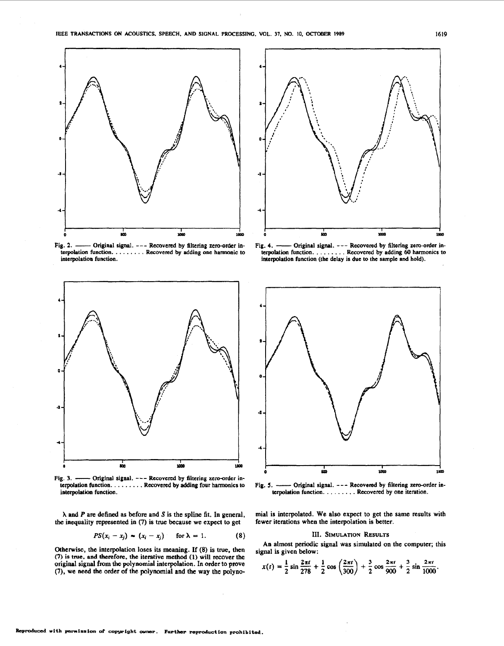

interpolation function.



interpolation function.

**<sup>A</sup>**and *P* are defined **as** before and **S** is the spline fit. In general, **the** inequality represented in *(7)* is true because we expect to get

$$
PS(x_i - x_j) \sim (x_i - x_j) \quad \text{for } \lambda = 1.
$$
 (8)

Otherwise, the interpolation loses its meaning. If (8) is true, then *(7)* is **true. and** therefore, the iterative **method (1)** will recover the original signal **from the** polynomial interpolation. In **order** to prove **(7), we** need the order of the polynomial and the way the polyno-



terpolation function. . . . . . . . . Recovered **by** adding **60** harmonics to interpolation function (the delay is due **to** the sample and hold).



mial is interpolated. **We** also expect **to** get the same results with fewer iterations when the interpolation is better.

### **111. SIMULATION RESULTS**

signal is given below:

An almost periodic signal was simulated on the computer; this  
gnal is given below:  

$$
x(t) = \frac{1}{2} \sin \frac{2\pi t}{278} + \frac{1}{2} \cos \left(\frac{2\pi t}{300}\right) + \frac{3}{2} \cos \frac{2\pi t}{900} + \frac{3}{2} \sin \frac{2\pi t}{1000}.
$$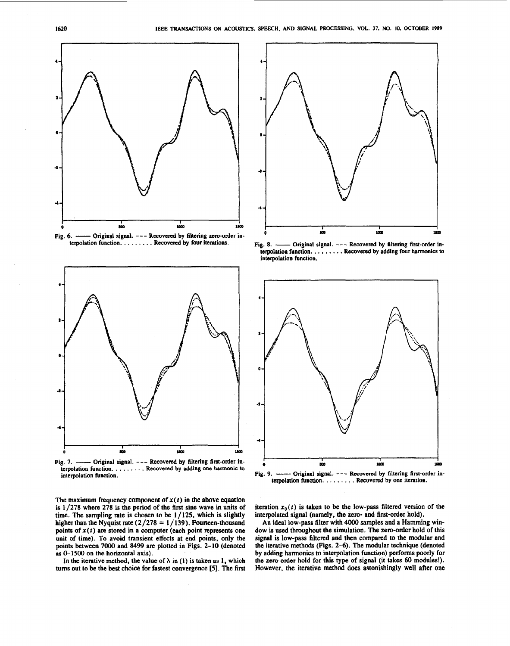<span id="page-3-0"></span>



tcrpolation **funcIion.** . . . . . . . . **Rocovered by adding one** harmonic **to**  interpolation function.



Fig. 8. - Original signal. --- Recovered by filtering first-order interpolation function. , . . . . . . . Recovered **by** adding four harmonics **to**  interpolation function.



The maximum frequency component of  $x(t)$  in the above equation is **1 /278** where 278 is the period of the first sine wave in units of time. The sampling rate is chosen to be 1/125, which is slightly higher than the Nyquist rate  $(2/278 = 1/139)$ . Fourteen-thousand points of **x(2)** are stored in **a** computet (each point represents one unit of time). **To** avoid transient effects at end points, only the points between **7000** and *84%* are plotted in Pigs. **2-10** (denoted as **0-1500** on the horizontal axis).

In the iterative method, the value of  $\lambda$  in (1) is taken as 1, which **tums** out **to be** the **best** choice for fastest convergence *[5].* The first

iteration  $x_0(t)$  is taken to be the low-pass filtered version of the interpolated signal (namely, the zero- and first-order hold).

An ideal low-pass filter with **4000** samples and **a** Hamming window is **used** throughout the simulation. **The** zero-order hold of this signal is low-pass filtered and then compared to the modular and the iterative methods (Pigs. **2-6).** The modular technique (denoted by adding harmonics to interpolation function) performs poorly for **thc** zsro-order hold for this **type** of signal (it **takes 60** modules!). However, the iterative method **does** astonishingly well after one